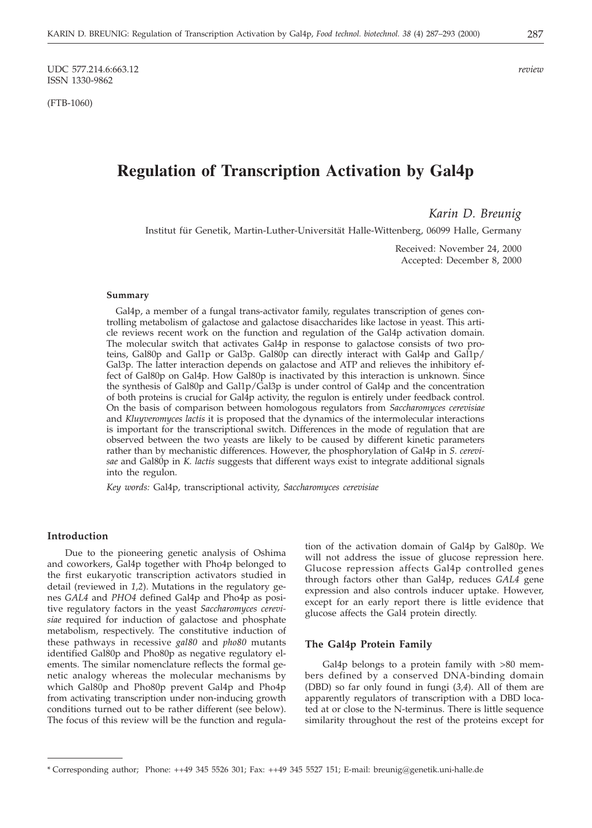UDC 577.214.6:663.12 *review* ISSN 1330-9862

(FTB-1060)

# **Regulation of Transcription Activation by Gal4p**

*Karin D. Breunig*

Institut für Genetik, Martin-Luther-Universität Halle-Wittenberg, 06099 Halle, Germany

Received: November 24, 2000 Accepted: December 8, 2000

#### **Summary**

Gal4p, a member of a fungal trans-activator family, regulates transcription of genes controlling metabolism of galactose and galactose disaccharides like lactose in yeast. This article reviews recent work on the function and regulation of the Gal4p activation domain. The molecular switch that activates Gal4p in response to galactose consists of two proteins, Gal80p and Gal1p or Gal3p. Gal80p can directly interact with Gal4p and Gal1p/ Gal3p. The latter interaction depends on galactose and ATP and relieves the inhibitory effect of Gal80p on Gal4p. How Gal80p is inactivated by this interaction is unknown. Since the synthesis of Gal80p and Gal1p/Gal3p is under control of Gal4p and the concentration of both proteins is crucial for Gal4p activity, the regulon is entirely under feedback control. On the basis of comparison between homologous regulators from *Saccharomyces cerevisiae* and *Kluyveromyces lactis* it is proposed that the dynamics of the intermolecular interactions is important for the transcriptional switch. Differences in the mode of regulation that are observed between the two yeasts are likely to be caused by different kinetic parameters rather than by mechanistic differences. However, the phosphorylation of Gal4p in *S. cerevisae* and Gal80p in *K. lactis* suggests that different ways exist to integrate additional signals into the regulon.

*Key words:* Gal4p, transcriptional activity, *Saccharomyces cerevisiae*

# **Introduction**

Due to the pioneering genetic analysis of Oshima and coworkers, Gal4p together with Pho4p belonged to the first eukaryotic transcription activators studied in detail (reviewed in *1,2*). Mutations in the regulatory genes *GAL4* and *PHO4* defined Gal4p and Pho4p as positive regulatory factors in the yeast *Saccharomyces cerevisiae* required for induction of galactose and phosphate metabolism, respectively. The constitutive induction of these pathways in recessive *gal80* and *pho80* mutants identified Gal80p and Pho80p as negative regulatory elements. The similar nomenclature reflects the formal genetic analogy whereas the molecular mechanisms by which Gal80p and Pho80p prevent Gal4p and Pho4p from activating transcription under non-inducing growth conditions turned out to be rather different (see below). The focus of this review will be the function and regulation of the activation domain of Gal4p by Gal80p. We will not address the issue of glucose repression here. Glucose repression affects Gal4p controlled genes through factors other than Gal4p, reduces *GAL4* gene expression and also controls inducer uptake. However, except for an early report there is little evidence that glucose affects the Gal4 protein directly.

# **The Gal4p Protein Family**

Gal4p belongs to a protein family with >80 members defined by a conserved DNA-binding domain (DBD) so far only found in fungi (*3,4*). All of them are apparently regulators of transcription with a DBD located at or close to the N-terminus. There is little sequence similarity throughout the rest of the proteins except for

<sup>\*</sup> Corresponding author; Phone: ++49 345 5526 301; Fax: ++49 345 5527 151; E-mail: breunig*@*genetik.uni-halle.de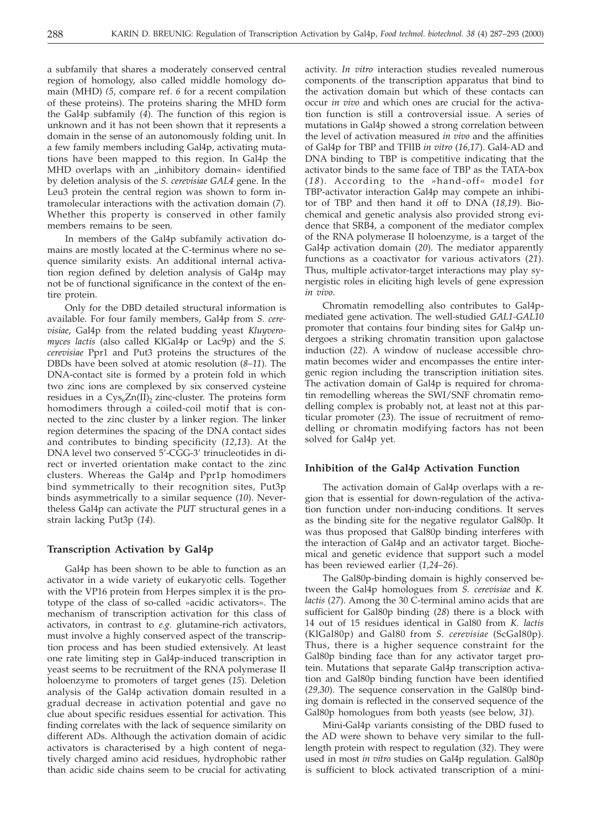a subfamily that shares a moderately conserved central region of homology, also called middle homology domain (MHD) *(5*, compare ref. *6* for a recent compilation of these proteins). The proteins sharing the MHD form the Gal4p subfamily (*4*). The function of this region is unknown and it has not been shown that it represents a domain in the sense of an autonomously folding unit. In a few family members including Gal4p, activating mutations have been mapped to this region. In Gal4p the MHD overlaps with an "inhibitory domain« identified by deletion analysis of the *S. cerevisiae GAL4* gene. In the Leu3 protein the central region was shown to form intramolecular interactions with the activation domain (*7*). Whether this property is conserved in other family members remains to be seen.

In members of the Gal4p subfamily activation domains are mostly located at the C-terminus where no sequence similarity exists. An additional internal activation region defined by deletion analysis of Gal4p may not be of functional significance in the context of the entire protein.

Only for the DBD detailed structural information is available. For four family members, Gal4p from *S. cerevisiae,* Gal4p from the related budding yeast *Kluyveromyces lactis* (also called KlGal4p or Lac9p) and the *S. cerevisiae* Ppr1 and Put3 proteins the structures of the DBDs have been solved at atomic resolution (*8–11*). The DNA-contact site is formed by a protein fold in which two zinc ions are complexed by six conserved cysteine residues in a  $Cys<sub>6</sub>Zn(II)<sub>2</sub>$  zinc-cluster. The proteins form homodimers through a coiled-coil motif that is connected to the zinc cluster by a linker region. The linker region determines the spacing of the DNA contact sides and contributes to binding specificity (*12,13*). At the DNA level two conserved 5'-CGG-3' trinucleotides in direct or inverted orientation make contact to the zinc clusters. Whereas the Gal4p and Ppr1p homodimers bind symmetrically to their recognition sites, Put3p binds asymmetrically to a similar sequence (*10*). Nevertheless Gal4p can activate the *PUT* structural genes in a strain lacking Put3p (*14*).

# **Transcription Activation by Gal4p**

Gal4p has been shown to be able to function as an activator in a wide variety of eukaryotic cells. Together with the VP16 protein from Herpes simplex it is the prototype of the class of so-called »acidic activators«. The mechanism of transcription activation for this class of activators, in contrast to *e.g.* glutamine-rich activators, must involve a highly conserved aspect of the transcription process and has been studied extensively. At least one rate limiting step in Gal4p-induced transcription in yeast seems to be recruitment of the RNA polymerase II holoenzyme to promoters of target genes (*15*). Deletion analysis of the Gal4p activation domain resulted in a gradual decrease in activation potential and gave no clue about specific residues essential for activation. This finding correlates with the lack of sequence similarity on different ADs. Although the activation domain of acidic activators is characterised by a high content of negatively charged amino acid residues, hydrophobic rather than acidic side chains seem to be crucial for activating activity. *In vitro* interaction studies revealed numerous components of the transcription apparatus that bind to the activation domain but which of these contacts can occur *in vivo* and which ones are crucial for the activation function is still a controversial issue. A series of mutations in Gal4p showed a strong correlation between the level of activation measured *in vivo* and the affinities of Gal4p for TBP and TFIIB *in vitro* (*16,17*). Gal4-AD and DNA binding to TBP is competitive indicating that the activator binds to the same face of TBP as the TATA-box (*1 8*). According to the »hand-off« model for TBP-activator interaction Gal4p may compete an inhibitor of TBP and then hand it off to DNA (*18,19*). Biochemical and genetic analysis also provided strong evidence that SRB4, a component of the mediator complex of the RNA polymerase II holoenzyme, is a target of the Gal4p activation domain (*20*). The mediator apparently functions as a coactivator for various activators (*21*). Thus, multiple activator-target interactions may play synergistic roles in eliciting high levels of gene expression *in vivo*.

Chromatin remodelling also contributes to Gal4pmediated gene activation. The well-studied *GAL1-GAL10* promoter that contains four binding sites for Gal4p undergoes a striking chromatin transition upon galactose induction (*22*). A window of nuclease accessible chromatin becomes wider and encompasses the entire intergenic region including the transcription initiation sites. The activation domain of Gal4p is required for chromatin remodelling whereas the SWI/SNF chromatin remodelling complex is probably not, at least not at this particular promoter (*23*). The issue of recruitment of remodelling or chromatin modifying factors has not been solved for Gal4p yet.

#### **Inhibition of the Gal4p Activation Function**

The activation domain of Gal4p overlaps with a region that is essential for down-regulation of the activation function under non-inducing conditions. It serves as the binding site for the negative regulator Gal80p. It was thus proposed that Gal80p binding interferes with the interaction of Gal4p and an activator target. Biochemical and genetic evidence that support such a model has been reviewed earlier (*1,24–26*).

The Gal80p-binding domain is highly conserved between the Gal4p homologues from *S. cerevisiae* and *K. lactis* (*27*). Among the 30 C-terminal amino acids that are sufficient for Gal80p binding (*28*) there is a block with 14 out of 15 residues identical in Gal80 from *K. lactis* (KlGal80p) and Gal80 from *S. cerevisiae* (ScGal80p). Thus, there is a higher sequence constraint for the Gal80p binding face than for any activator target protein. Mutations that separate Gal4p transcription activation and Gal80p binding function have been identified (*29,30*). The sequence conservation in the Gal80p binding domain is reflected in the conserved sequence of the Gal80p homologues from both yeasts (see below, *31*).

Mini-Gal4p variants consisting of the DBD fused to the AD were shown to behave very similar to the fulllength protein with respect to regulation (*32*). They were used in most *in vitro* studies on Gal4p regulation. Gal80p is sufficient to block activated transcription of a mini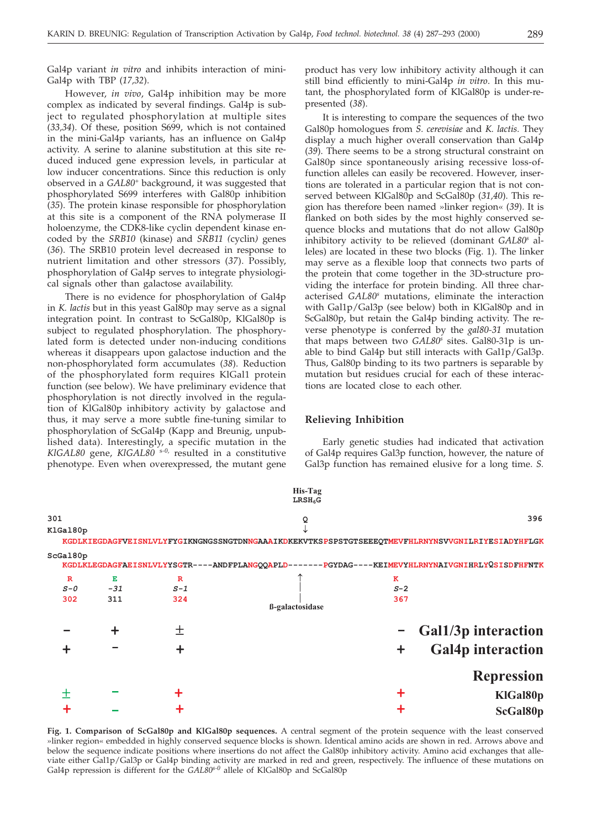Gal4p variant *in vitro* and inhibits interaction of mini-Gal4p with TBP (*17,32*).

However, *in vivo*, Gal4p inhibition may be more complex as indicated by several findings. Gal4p is subject to regulated phosphorylation at multiple sites (*33,34*). Of these, position S699, which is not contained in the mini-Gal4p variants, has an influence on Gal4p activity. A serine to alanine substitution at this site reduced induced gene expression levels, in particular at low inducer concentrations. Since this reduction is only observed in a *GAL80*<sup>+</sup> background, it was suggested that phosphorylated S699 interferes with Gal80p inhibition (*35*). The protein kinase responsible for phosphorylation at this site is a component of the RNA polymerase II holoenzyme, the CDK8-like cyclin dependent kinase encoded by the *SRB10* (kinase) and *SRB11 (*cyclin*)* genes (*36*). The SRB10 protein level decreased in response to nutrient limitation and other stressors (*37*). Possibly, phosphorylation of Gal4p serves to integrate physiological signals other than galactose availability.

There is no evidence for phosphorylation of Gal4p in *K. lactis* but in this yeast Gal80p may serve as a signal integration point. In contrast to ScGal80p, KlGal80p is subject to regulated phosphorylation. The phosphorylated form is detected under non-inducing conditions whereas it disappears upon galactose induction and the non-phosphorylated form accumulates (*38*). Reduction of the phosphorylated form requires KlGal1 protein function (see below). We have preliminary evidence that phosphorylation is not directly involved in the regulation of KlGal80p inhibitory activity by galactose and thus, it may serve a more subtle fine-tuning similar to phosphorylation of ScGal4p (Kapp and Breunig, unpublished data). Interestingly, a specific mutation in the *KlGAL80* gene, *KlGAL80* <sup>s</sup>*-0*, resulted in a constitutive phenotype. Even when overexpressed, the mutant gene

product has very low inhibitory activity although it can still bind efficiently to mini-Gal4p *in vitro*. In this mutant, the phosphorylated form of KlGal80p is under-represented (*38*).

It is interesting to compare the sequences of the two Gal80p homologues from *S. cerevisiae* and *K. lactis.* They display a much higher overall conservation than Gal4p (*39*). There seems to be a strong structural constraint on Gal80p since spontaneously arising recessive loss-offunction alleles can easily be recovered. However, insertions are tolerated in a particular region that is not conserved between KlGal80p and ScGal80p (*31,40*). This region has therefore been named »linker region« (*39*). It is flanked on both sides by the most highly conserved sequence blocks and mutations that do not allow Gal80p inhibitory activity to be relieved (dominant *GAL80s* alleles) are located in these two blocks (Fig. 1). The linker may serve as a flexible loop that connects two parts of the protein that come together in the 3D-structure providing the interface for protein binding. All three characterised *GAL80s* mutations, eliminate the interaction with Gal1p/Gal3p (see below) both in KlGal80p and in ScGal80p, but retain the Gal4p binding activity. The reverse phenotype is conferred by the *gal80-31* mutation that maps between two *GAL80s* sites. Gal80-31p is unable to bind Gal4p but still interacts with Gal1p/Gal3p. Thus, Gal80p binding to its two partners is separable by mutation but residues crucial for each of these interactions are located close to each other.

#### **Relieving Inhibition**

Early genetic studies had indicated that activation of Gal4p requires Gal3p function, however, the nature of Gal3p function has remained elusive for a long time. *S.*

|                                |                   |                             | His-Tag<br>LRSH <sub>6</sub> G                                                                   |                             |                                                 |
|--------------------------------|-------------------|-----------------------------|--------------------------------------------------------------------------------------------------|-----------------------------|-------------------------------------------------|
| 301<br>KlGal80p                | Q                 |                             |                                                                                                  | 396                         |                                                 |
|                                |                   |                             | KGDLKIEGDAGFVEISNLVLYFYGIKNGNGSSNGTDNNGAAAIKDKEKVTKSPSPSTGTSEEEQTMEVFHLRNYNSVVGNILRIYESIADYHFLGK |                             |                                                 |
| ScGal80p                       |                   |                             | KGDLKLEGDAGFAEISNLVLYYSGTR----ANDFPLANGQQAPLD-------PGYDAG----KEIMEVYHLRNYNAIVGNIHRLYQSISDFHFNTK |                             |                                                 |
| $\mathbf{R}$<br>$S - O$<br>302 | E<br>$-31$<br>311 | $\mathbf R$<br>$S-1$<br>324 | ß-galactosidase                                                                                  | $\mathbf K$<br>$S-2$<br>367 |                                                 |
|                                |                   | +                           |                                                                                                  |                             | Gal1/3p interaction<br><b>Gal4p</b> interaction |
|                                |                   |                             |                                                                                                  |                             | <b>Repression</b>                               |
|                                |                   |                             |                                                                                                  |                             | KlGal80p                                        |
|                                |                   |                             |                                                                                                  |                             | ScGal80p                                        |

**Fig. 1. Comparison of ScGal80p and KlGal80p sequences.** A central segment of the protein sequence with the least conserved »linker region« embedded in highly conserved sequence blocks is shown. Identical amino acids are shown in red. Arrows above and below the sequence indicate positions where insertions do not affect the Gal80p inhibitory activity. Amino acid exchanges that alleviate either Gal1p/Gal3p or Gal4p binding activity are marked in red and green, respectively. The influence of these mutations on Gal4p repression is different for the *GAL80s-0* allele of KlGal80p and ScGal80p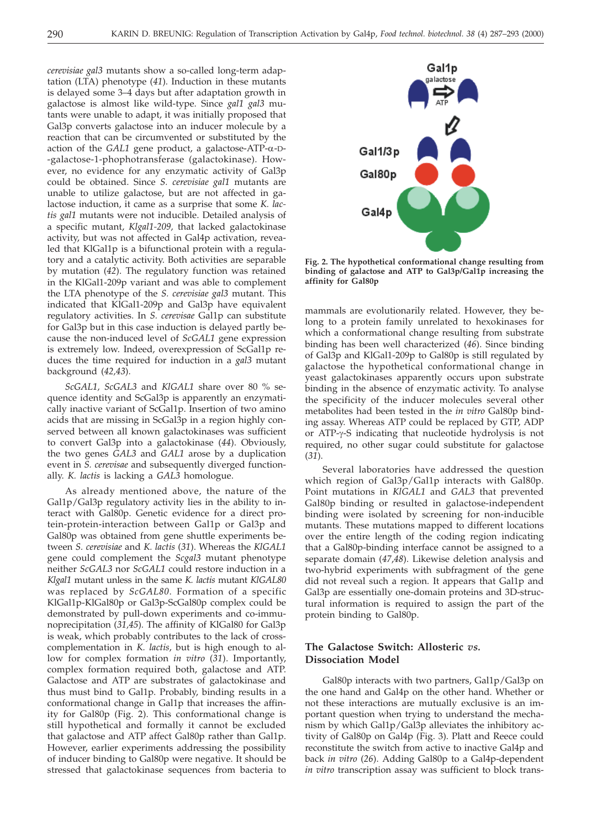*cerevisiae gal3* mutants show a so-called long-term adaptation (LTA) phenotype (*41*). Induction in these mutants is delayed some 3–4 days but after adaptation growth in galactose is almost like wild-type. Since *gal1 gal3* mutants were unable to adapt, it was initially proposed that Gal3p converts galactose into an inducer molecule by a reaction that can be circumvented or substituted by the action of the  $GAL1$  gene product, a galactose-ATP- $\alpha$ -D--galactose-1-phophotransferase (galactokinase). However, no evidence for any enzymatic activity of Gal3p could be obtained. Since *S. cerevisiae gal1* mutants are unable to utilize galactose, but are not affected in galactose induction, it came as a surprise that some *K. lactis gal1* mutants were not inducible. Detailed analysis of a specific mutant, *Klgal1-209,* that lacked galactokinase activity, but was not affected in Gal4p activation, revealed that KlGal1p is a bifunctional protein with a regulatory and a catalytic activity. Both activities are separable by mutation (*42*). The regulatory function was retained in the KlGal1-209p variant and was able to complement the LTA phenotype of the *S. cerevisiae gal3* mutant. This indicated that KlGal1-209p and Gal3p have equivalent regulatory activities. In *S. cerevisae* Gal1p can substitute for Gal3p but in this case induction is delayed partly because the non-induced level of *ScGAL1* gene expression is extremely low. Indeed, overexpression of ScGal1p reduces the time required for induction in a *gal3* mutant background (*42,43*).

*ScGAL1, ScGAL3* and *KlGAL1* share over 80 % sequence identity and ScGal3p is apparently an enzymatically inactive variant of ScGal1p. Insertion of two amino acids that are missing in ScGal3p in a region highly conserved between all known galactokinases was sufficient to convert Gal3p into a galactokinase (*44*). Obviously, the two genes *GAL3* and *GAL1* arose by a duplication event in *S. cerevisae* and subsequently diverged functionally. *K. lactis* is lacking a *GAL3* homologue.

As already mentioned above, the nature of the Gal1p/Gal3p regulatory activity lies in the ability to interact with Gal80p. Genetic evidence for a direct protein-protein-interaction between Gal1p or Gal3p and Gal80p was obtained from gene shuttle experiments between *S. cerevisiae* and *K. lactis* (*31*). Whereas the *KlGAL1* gene could complement the *Scgal3* mutant phenotype neither *ScGAL3* nor *ScGAL1* could restore induction in a *Klgal1* mutant unless in the same *K. lactis* mutant *KlGAL80* was replaced by *ScGAL80*. Formation of a specific KlGal1p-KlGal80p or Gal3p-ScGal80p complex could be demonstrated by pull-down experiments and co-immunoprecipitation (*31,45*). The affinity of KlGal80 for Gal3p is weak, which probably contributes to the lack of crosscomplementation in *K. lactis*, but is high enough to allow for complex formation *in vitro* (*31*). Importantly, complex formation required both, galactose and ATP. Galactose and ATP are substrates of galactokinase and thus must bind to Gal1p. Probably, binding results in a conformational change in Gal1p that increases the affinity for Gal80p (Fig. 2). This conformational change is still hypothetical and formally it cannot be excluded that galactose and ATP affect Gal80p rather than Gal1p. However, earlier experiments addressing the possibility of inducer binding to Gal80p were negative. It should be stressed that galactokinase sequences from bacteria to



**Fig. 2. The hypothetical conformational change resulting from binding of galactose and ATP to Gal3p/Gal1p increasing the affinity for Gal80p**

mammals are evolutionarily related. However, they belong to a protein family unrelated to hexokinases for which a conformational change resulting from substrate binding has been well characterized (*46*). Since binding of Gal3p and KlGal1-209p to Gal80p is still regulated by galactose the hypothetical conformational change in yeast galactokinases apparently occurs upon substrate binding in the absence of enzymatic activity. To analyse the specificity of the inducer molecules several other metabolites had been tested in the *in vitro* Gal80p binding assay. Whereas ATP could be replaced by GTP, ADP or ATP- $\gamma$ -S indicating that nucleotide hydrolysis is not required, no other sugar could substitute for galactose (*31*).

Several laboratories have addressed the question which region of Gal3p/Gal1p interacts with Gal80p. Point mutations in *KlGAL1* and *GAL3* that prevented Gal80p binding or resulted in galactose-independent binding were isolated by screening for non-inducible mutants. These mutations mapped to different locations over the entire length of the coding region indicating that a Gal80p-binding interface cannot be assigned to a separate domain (*47*,*48*). Likewise deletion analysis and two-hybrid experiments with subfragment of the gene did not reveal such a region. It appears that Gal1p and Gal3p are essentially one-domain proteins and 3D-structural information is required to assign the part of the protein binding to Gal80p.

# **The Galactose Switch: Allosteric** *vs.* **Dissociation Model**

Gal80p interacts with two partners, Gal1p/Gal3p on the one hand and Gal4p on the other hand. Whether or not these interactions are mutually exclusive is an important question when trying to understand the mechanism by which Gal1p/Gal3p alleviates the inhibitory activity of Gal80p on Gal4p (Fig. 3). Platt and Reece could reconstitute the switch from active to inactive Gal4p and back *in vitro* (*26*). Adding Gal80p to a Gal4p-dependent *in vitro* transcription assay was sufficient to block trans-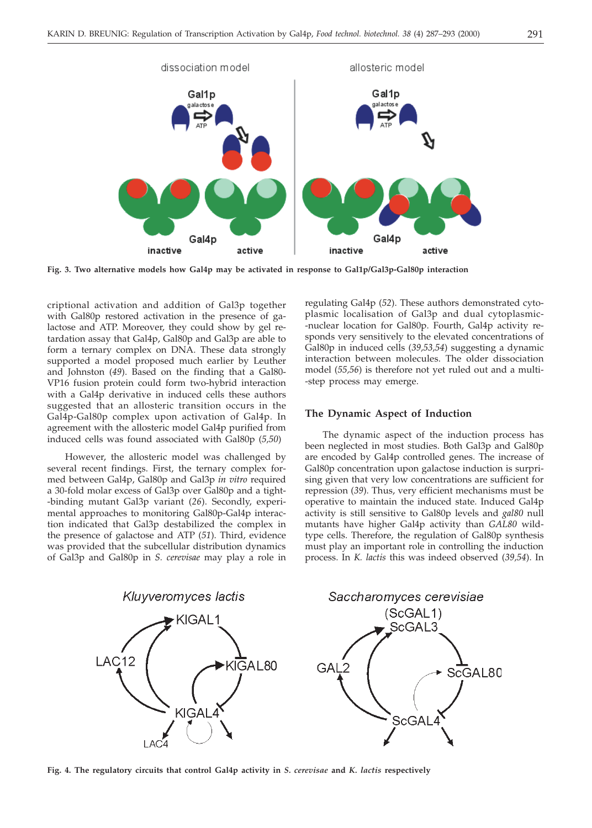

**Fig. 3. Two alternative models how Gal4p may be activated in response to Gal1p/Gal3p-Gal80p interaction**

criptional activation and addition of Gal3p together with Gal80p restored activation in the presence of galactose and ATP. Moreover, they could show by gel retardation assay that Gal4p, Gal80p and Gal3p are able to form a ternary complex on DNA. These data strongly supported a model proposed much earlier by Leuther and Johnston (*49*). Based on the finding that a Gal80- VP16 fusion protein could form two-hybrid interaction with a Gal4p derivative in induced cells these authors suggested that an allosteric transition occurs in the Gal4p-Gal80p complex upon activation of Gal4p. In agreement with the allosteric model Gal4p purified from induced cells was found associated with Gal80p (*5,50*)

However, the allosteric model was challenged by several recent findings. First, the ternary complex formed between Gal4p, Gal80p and Gal3p *in vitro* required a 30-fold molar excess of Gal3p over Gal80p and a tight- -binding mutant Gal3p variant (*26*). Secondly, experimental approaches to monitoring Gal80p-Gal4p interaction indicated that Gal3p destabilized the complex in the presence of galactose and ATP (*51*). Third, evidence was provided that the subcellular distribution dynamics of Gal3p and Gal80p in *S. cerevisae* may play a role in

regulating Gal4p (*52*). These authors demonstrated cytoplasmic localisation of Gal3p and dual cytoplasmic- -nuclear location for Gal80p. Fourth, Gal4p activity responds very sensitively to the elevated concentrations of Gal80p in induced cells (*39,53,54*) suggesting a dynamic interaction between molecules. The older dissociation model (*55,56*) is therefore not yet ruled out and a multi- -step process may emerge.

### **The Dynamic Aspect of Induction**

The dynamic aspect of the induction process has been neglected in most studies. Both Gal3p and Gal80p are encoded by Gal4p controlled genes. The increase of Gal80p concentration upon galactose induction is surprising given that very low concentrations are sufficient for repression (*39*). Thus, very efficient mechanisms must be operative to maintain the induced state. Induced Gal4p activity is still sensitive to Gal80p levels and *gal80* null mutants have higher Gal4p activity than *GAL80* wildtype cells. Therefore, the regulation of Gal80p synthesis must play an important role in controlling the induction process. In *K. lactis* this was indeed observed (*39,54*). In



**Fig. 4. The regulatory circuits that control Gal4p activity in** *S. cerevisae* **and** *K. lactis* **respectively**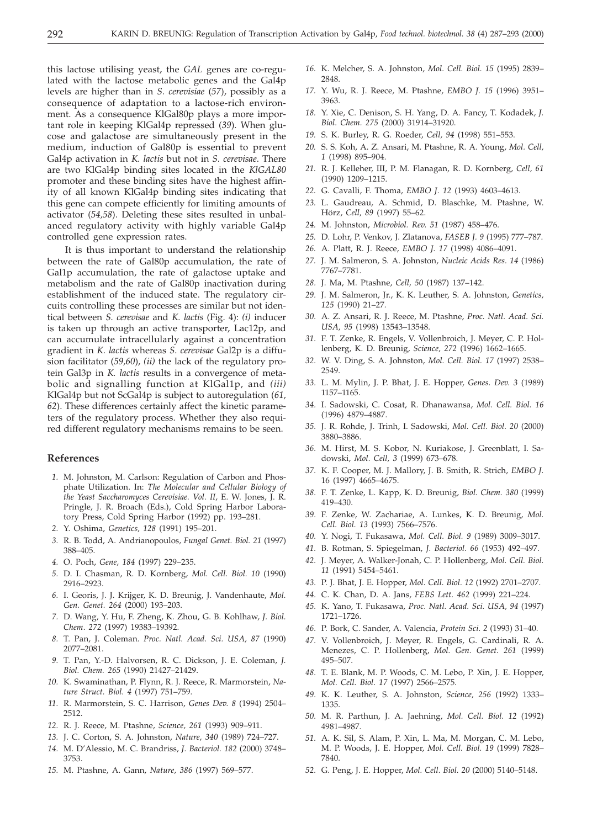this lactose utilising yeast, the *GAL* genes are co-regulated with the lactose metabolic genes and the Gal4p levels are higher than in *S. cerevisiae* (*57*), possibly as a consequence of adaptation to a lactose-rich environment. As a consequence KlGal80p plays a more important role in keeping KlGal4p repressed (*39*). When glucose and galactose are simultaneously present in the medium, induction of Gal80p is essential to prevent Gal4p activation in *K. lactis* but not in *S. cerevisae*. There are two KlGal4p binding sites located in the *KlGAL80* promoter and these binding sites have the highest affinity of all known KlGal4p binding sites indicating that this gene can compete efficiently for limiting amounts of activator (*54,58*). Deleting these sites resulted in unbalanced regulatory activity with highly variable Gal4p controlled gene expression rates.

It is thus important to understand the relationship between the rate of Gal80p accumulation, the rate of Gal1p accumulation, the rate of galactose uptake and metabolism and the rate of Gal80p inactivation during establishment of the induced state. The regulatory circuits controlling these processes are similar but not identical between *S. cerevisae* and *K. lactis* (Fig. 4): *(i)* inducer is taken up through an active transporter, Lac12p, and can accumulate intracellularly against a concentration gradient in *K. lactis* whereas *S. cerevisae* Gal2p is a diffusion facilitator (*59,60*), *(ii)* the lack of the regulatory protein Gal3p in *K. lactis* results in a convergence of metabolic and signalling function at KlGal1p, and *(iii)* KlGal4p but not ScGal4p is subject to autoregulation (*61, 62*). These differences certainly affect the kinetic parameters of the regulatory process. Whether they also required different regulatory mechanisms remains to be seen.

# **References**

- *1.* M. Johnston, M. Carlson: Regulation of Carbon and Phosphate Utilization. In: *The Molecular and Cellular Biology of the Yeast Saccharomyces Cerevisiae. Vol. II*, E. W. Jones, J. R. Pringle, J. R. Broach (Eds.), Cold Spring Harbor Laboratory Press, Cold Spring Harbor (1992) pp. 193–281.
- *2.* Y. Oshima, *Genetics, 128* (1991) 195–201.
- *3.* R. B. Todd, A. Andrianopoulos, *Fungal Genet. Biol. 21* (1997) 388–405.
- *4.* O. Poch, *Gene, 184* (1997) 229–235.
- *5.* D. I. Chasman, R. D. Kornberg, *Mol. Cell. Biol. 10* (1990) 2916–2923.
- *6.* I. Georis, J. J. Krijger, K. D. Breunig, J. Vandenhaute, *Mol. Gen. Genet. 264* (2000) 193–203.
- *7.* D. Wang, Y. Hu, F. Zheng, K. Zhou, G. B. Kohlhaw, *J. Biol. Chem*. *272* (1997) 19383–19392.
- *8.* T. Pan, J. Coleman. *Proc. Natl. Acad. Sci. USA, 87* (1990) 2077–2081.
- *9.* T. Pan, Y.-D. Halvorsen, R. C. Dickson, J. E. Coleman, *J. Biol. Chem. 265* (1990) 21427–21429.
- *10.* K. Swaminathan, P. Flynn, R. J. Reece, R. Marmorstein, *Nature Struct. Biol. 4* (1997) 751–759.
- *11.* R. Marmorstein, S. C. Harrison, *Genes Dev. 8* (1994) 2504– 2512.
- *12.* R. J. Reece, M. Ptashne, *Science, 261* (1993) 909–911.
- *13.* J. C. Corton, S. A. Johnston, *Nature, 340* (1989) 724–727.
- *14.* M. D'Alessio, M. C. Brandriss, *J. Bacteriol. 182* (2000) 3748– 3753.
- *15.* M. Ptashne, A. Gann, *Nature, 386* (1997) 569–577.
- *16.* K. Melcher, S. A. Johnston, *Mol. Cell. Biol. 15* (1995) 2839– 2848.
- *17.* Y. Wu, R. J. Reece, M. Ptashne, *EMBO J. 15* (1996) 3951– 3963.
- *18.* Y. Xie, C. Denison, S. H. Yang, D. A. Fancy, T. Kodadek, *J. Biol. Chem. 275* (2000) 31914–31920.
- *19.* S. K. Burley, R. G. Roeder, *Cell, 94* (1998) 551–553.
- *20.* S. S. Koh, A. Z. Ansari, M. Ptashne, R. A. Young, *Mol. Cell, 1* (1998) 895–904.
- *21.* R. J. Kelleher, III, P. M. Flanagan, R. D. Kornberg, *Cell, 61* (1990) 1209–1215.
- *22.* G. Cavalli, F. Thoma, *EMBO J. 12* (1993) 4603–4613.
- *23.* L. Gaudreau, A. Schmid, D. Blaschke, M. Ptashne, W. Hörz, *Cell, 89* (1997) 55–62.
- *24.* M. Johnston, *Microbiol. Rev. 51* (1987) 458–476.
- *25.* D. Lohr, P. Venkov, J. Zlatanova, *FASEB J. 9* (1995) 777–787.
- *26.* A. Platt, R. J. Reece, *EMBO J. 17* (1998) 4086–4091.
- *27.* J. M. Salmeron, S. A. Johnston, *Nucleic Acids Res. 14* (1986) 7767–7781.
- *28.* J. Ma, M. Ptashne, *Cell, 50* (1987) 137–142.
- *29.* J. M. Salmeron, Jr., K. K. Leuther, S. A. Johnston, *Genetics, 125* (1990) 21–27.
- *30.* A. Z. Ansari, R. J. Reece, M. Ptashne, *Proc. Natl. Acad. Sci. USA, 95* (1998) 13543–13548.
- *31.* F. T. Zenke, R. Engels, V. Vollenbroich, J. Meyer, C. P. Hollenberg, K. D. Breunig, *Science, 272* (1996) 1662–1665.
- *32.* W. V. Ding, S. A. Johnston, *Mol. Cell. Biol. 17* (1997) 2538– 2549.
- *33.* L. M. Mylin, J. P. Bhat, J. E. Hopper, *Genes. Dev. 3* (1989) 1157–1165.
- *34.* I. Sadowski, C. Cosat, R. Dhanawansa, *Mol. Cell. Biol. 16* (1996) 4879–4887.
- *35.* J. R. Rohde, J. Trinh, I. Sadowski, *Mol. Cell. Biol. 20* (2000) 3880–3886.
- *36.* M. Hirst, M. S. Kobor, N. Kuriakose, J. Greenblatt, I. Sadowski, *Mol. Cell, 3* (1999) 673–678.
- *37.* K. F. Cooper, M. J. Mallory, J. B. Smith, R. Strich, *EMBO J.* 16 (1997) 4665–4675.
- *38.* F. T. Zenke, L. Kapp, K. D. Breunig, *Biol. Chem. 380* (1999) 419–430.
- *39.* F. Zenke, W. Zachariae, A. Lunkes, K. D. Breunig, *Mol. Cell. Biol. 13* (1993) 7566–7576.
- *40.* Y. Nogi, T. Fukasawa, *Mol. Cell. Biol. 9* (1989) 3009–3017.
- *41.* B. Rotman, S. Spiegelman, *J. Bacteriol. 66* (1953) 492–497.
- *42.* J. Meyer, A. Walker-Jonah, C. P. Hollenberg, *Mol. Cell. Biol. 11* (1991) 5454–5461.
- *43.* P. J. Bhat, J. E. Hopper, *Mol. Cell. Biol. 12* (1992) 2701–2707.
- *44.* C. K. Chan, D. A. Jans, *FEBS Lett. 462* (1999) 221–224.
- *45.* K. Yano, T. Fukasawa, *Proc. Natl. Acad. Sci. USA, 94* (1997) 1721–1726.
- *46.* P. Bork, C. Sander, A. Valencia, *Protein Sci. 2* (1993) 31–40.
- *47.* V. Vollenbroich, J. Meyer, R. Engels, G. Cardinali, R. A. Menezes, C. P. Hollenberg, *Mol. Gen. Genet. 261* (1999) 495–507.
- *48.* T. E. Blank, M. P. Woods, C. M. Lebo, P. Xin, J. E. Hopper, *Mol. Cell. Biol. 17* (1997) 2566–2575.
- *49.* K. K. Leuther, S. A. Johnston, *Science, 256* (1992) 1333– 1335.
- *50.* M. R. Parthun, J. A. Jaehning, *Mol. Cell. Biol. 12* (1992) 4981–4987.
- *51.* A. K. Sil, S. Alam, P. Xin, L. Ma, M. Morgan, C. M. Lebo, M. P. Woods, J. E. Hopper, *Mol. Cell. Biol. 19* (1999) 7828– 7840.
- *52.* G. Peng, J. E. Hopper, *Mol. Cell. Biol. 20* (2000) 5140–5148.